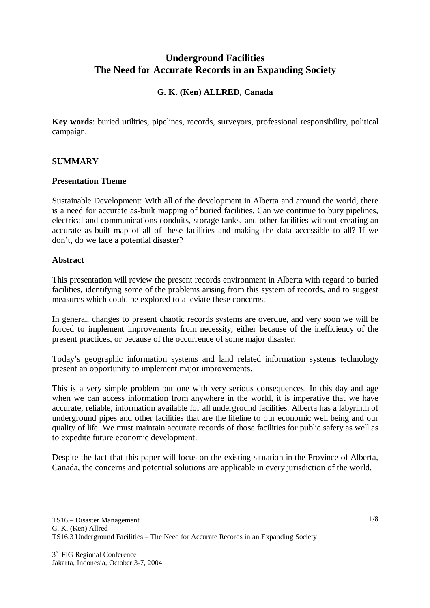# **Underground Facilities The Need for Accurate Records in an Expanding Society**

# **G. K. (Ken) ALLRED, Canada**

**Key words**: buried utilities, pipelines, records, surveyors, professional responsibility, political campaign.

### **SUMMARY**

#### **Presentation Theme**

Sustainable Development: With all of the development in Alberta and around the world, there is a need for accurate as-built mapping of buried facilities. Can we continue to bury pipelines, electrical and communications conduits, storage tanks, and other facilities without creating an accurate as-built map of all of these facilities and making the data accessible to all? If we don't, do we face a potential disaster?

#### **Abstract**

This presentation will review the present records environment in Alberta with regard to buried facilities, identifying some of the problems arising from this system of records, and to suggest measures which could be explored to alleviate these concerns.

In general, changes to present chaotic records systems are overdue, and very soon we will be forced to implement improvements from necessity, either because of the inefficiency of the present practices, or because of the occurrence of some major disaster.

Today's geographic information systems and land related information systems technology present an opportunity to implement major improvements.

This is a very simple problem but one with very serious consequences. In this day and age when we can access information from anywhere in the world, it is imperative that we have accurate, reliable, information available for all underground facilities. Alberta has a labyrinth of underground pipes and other facilities that are the lifeline to our economic well being and our quality of life. We must maintain accurate records of those facilities for public safety as well as to expedite future economic development.

Despite the fact that this paper will focus on the existing situation in the Province of Alberta, Canada, the concerns and potential solutions are applicable in every jurisdiction of the world.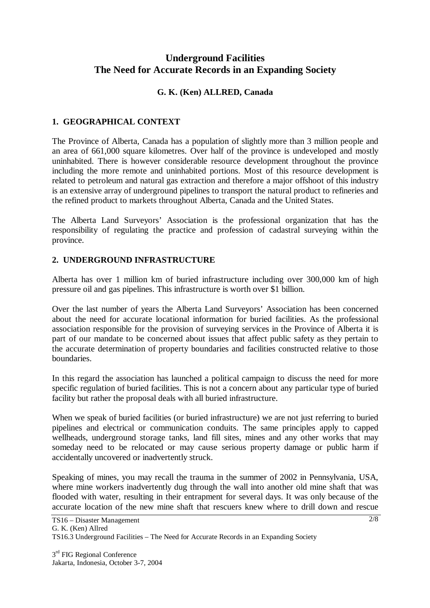# **Underground Facilities The Need for Accurate Records in an Expanding Society**

### **G. K. (Ken) ALLRED, Canada**

### **1. GEOGRAPHICAL CONTEXT**

The Province of Alberta, Canada has a population of slightly more than 3 million people and an area of 661,000 square kilometres. Over half of the province is undeveloped and mostly uninhabited. There is however considerable resource development throughout the province including the more remote and uninhabited portions. Most of this resource development is related to petroleum and natural gas extraction and therefore a major offshoot of this industry is an extensive array of underground pipelines to transport the natural product to refineries and the refined product to markets throughout Alberta, Canada and the United States.

The Alberta Land Surveyors' Association is the professional organization that has the responsibility of regulating the practice and profession of cadastral surveying within the province.

## **2. UNDERGROUND INFRASTRUCTURE**

Alberta has over 1 million km of buried infrastructure including over 300,000 km of high pressure oil and gas pipelines. This infrastructure is worth over \$1 billion.

Over the last number of years the Alberta Land Surveyors' Association has been concerned about the need for accurate locational information for buried facilities. As the professional association responsible for the provision of surveying services in the Province of Alberta it is part of our mandate to be concerned about issues that affect public safety as they pertain to the accurate determination of property boundaries and facilities constructed relative to those boundaries.

In this regard the association has launched a political campaign to discuss the need for more specific regulation of buried facilities. This is not a concern about any particular type of buried facility but rather the proposal deals with all buried infrastructure.

When we speak of buried facilities (or buried infrastructure) we are not just referring to buried pipelines and electrical or communication conduits. The same principles apply to capped wellheads, underground storage tanks, land fill sites, mines and any other works that may someday need to be relocated or may cause serious property damage or public harm if accidentally uncovered or inadvertently struck.

Speaking of mines, you may recall the trauma in the summer of 2002 in Pennsylvania, USA, where mine workers inadvertently dug through the wall into another old mine shaft that was flooded with water, resulting in their entrapment for several days. It was only because of the accurate location of the new mine shaft that rescuers knew where to drill down and rescue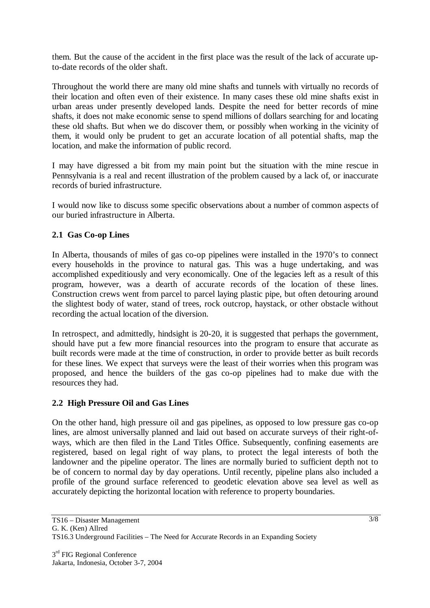them. But the cause of the accident in the first place was the result of the lack of accurate upto-date records of the older shaft.

Throughout the world there are many old mine shafts and tunnels with virtually no records of their location and often even of their existence. In many cases these old mine shafts exist in urban areas under presently developed lands. Despite the need for better records of mine shafts, it does not make economic sense to spend millions of dollars searching for and locating these old shafts. But when we do discover them, or possibly when working in the vicinity of them, it would only be prudent to get an accurate location of all potential shafts, map the location, and make the information of public record.

I may have digressed a bit from my main point but the situation with the mine rescue in Pennsylvania is a real and recent illustration of the problem caused by a lack of, or inaccurate records of buried infrastructure.

I would now like to discuss some specific observations about a number of common aspects of our buried infrastructure in Alberta.

### **2.1 Gas Co-op Lines**

In Alberta, thousands of miles of gas co-op pipelines were installed in the 1970's to connect every households in the province to natural gas. This was a huge undertaking, and was accomplished expeditiously and very economically. One of the legacies left as a result of this program, however, was a dearth of accurate records of the location of these lines. Construction crews went from parcel to parcel laying plastic pipe, but often detouring around the slightest body of water, stand of trees, rock outcrop, haystack, or other obstacle without recording the actual location of the diversion.

In retrospect, and admittedly, hindsight is 20-20, it is suggested that perhaps the government, should have put a few more financial resources into the program to ensure that accurate as built records were made at the time of construction, in order to provide better as built records for these lines. We expect that surveys were the least of their worries when this program was proposed, and hence the builders of the gas co-op pipelines had to make due with the resources they had.

#### **2.2 High Pressure Oil and Gas Lines**

On the other hand, high pressure oil and gas pipelines, as opposed to low pressure gas co-op lines, are almost universally planned and laid out based on accurate surveys of their right-ofways, which are then filed in the Land Titles Office. Subsequently, confining easements are registered, based on legal right of way plans, to protect the legal interests of both the landowner and the pipeline operator. The lines are normally buried to sufficient depth not to be of concern to normal day by day operations. Until recently, pipeline plans also included a profile of the ground surface referenced to geodetic elevation above sea level as well as accurately depicting the horizontal location with reference to property boundaries.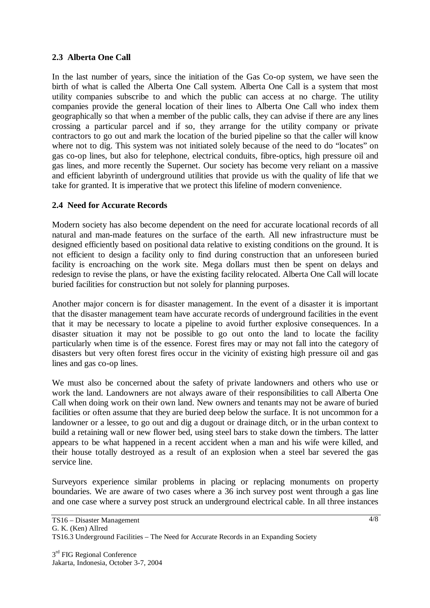### **2.3 Alberta One Call**

In the last number of years, since the initiation of the Gas Co-op system, we have seen the birth of what is called the Alberta One Call system. Alberta One Call is a system that most utility companies subscribe to and which the public can access at no charge. The utility companies provide the general location of their lines to Alberta One Call who index them geographically so that when a member of the public calls, they can advise if there are any lines crossing a particular parcel and if so, they arrange for the utility company or private contractors to go out and mark the location of the buried pipeline so that the caller will know where not to dig. This system was not initiated solely because of the need to do "locates" on gas co-op lines, but also for telephone, electrical conduits, fibre-optics, high pressure oil and gas lines, and more recently the Supernet. Our society has become very reliant on a massive and efficient labyrinth of underground utilities that provide us with the quality of life that we take for granted. It is imperative that we protect this lifeline of modern convenience.

### **2.4 Need for Accurate Records**

Modern society has also become dependent on the need for accurate locational records of all natural and man-made features on the surface of the earth. All new infrastructure must be designed efficiently based on positional data relative to existing conditions on the ground. It is not efficient to design a facility only to find during construction that an unforeseen buried facility is encroaching on the work site. Mega dollars must then be spent on delays and redesign to revise the plans, or have the existing facility relocated. Alberta One Call will locate buried facilities for construction but not solely for planning purposes.

Another major concern is for disaster management. In the event of a disaster it is important that the disaster management team have accurate records of underground facilities in the event that it may be necessary to locate a pipeline to avoid further explosive consequences. In a disaster situation it may not be possible to go out onto the land to locate the facility particularly when time is of the essence. Forest fires may or may not fall into the category of disasters but very often forest fires occur in the vicinity of existing high pressure oil and gas lines and gas co-op lines.

We must also be concerned about the safety of private landowners and others who use or work the land. Landowners are not always aware of their responsibilities to call Alberta One Call when doing work on their own land. New owners and tenants may not be aware of buried facilities or often assume that they are buried deep below the surface. It is not uncommon for a landowner or a lessee, to go out and dig a dugout or drainage ditch, or in the urban context to build a retaining wall or new flower bed, using steel bars to stake down the timbers. The latter appears to be what happened in a recent accident when a man and his wife were killed, and their house totally destroyed as a result of an explosion when a steel bar severed the gas service line.

Surveyors experience similar problems in placing or replacing monuments on property boundaries. We are aware of two cases where a 36 inch survey post went through a gas line and one case where a survey post struck an underground electrical cable. In all three instances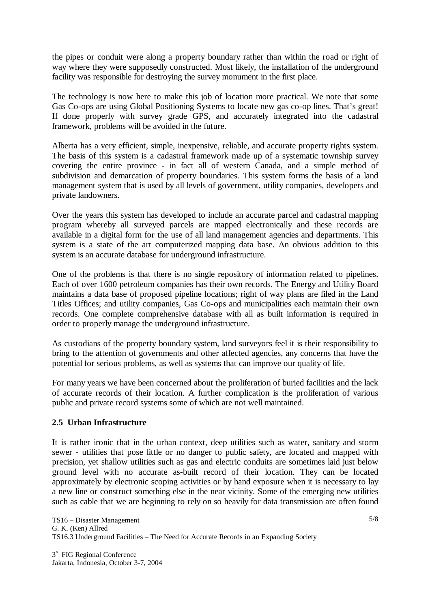the pipes or conduit were along a property boundary rather than within the road or right of way where they were supposedly constructed. Most likely, the installation of the underground facility was responsible for destroying the survey monument in the first place.

The technology is now here to make this job of location more practical. We note that some Gas Co-ops are using Global Positioning Systems to locate new gas co-op lines. That's great! If done properly with survey grade GPS, and accurately integrated into the cadastral framework, problems will be avoided in the future.

Alberta has a very efficient, simple, inexpensive, reliable, and accurate property rights system. The basis of this system is a cadastral framework made up of a systematic township survey covering the entire province - in fact all of western Canada, and a simple method of subdivision and demarcation of property boundaries. This system forms the basis of a land management system that is used by all levels of government, utility companies, developers and private landowners.

Over the years this system has developed to include an accurate parcel and cadastral mapping program whereby all surveyed parcels are mapped electronically and these records are available in a digital form for the use of all land management agencies and departments. This system is a state of the art computerized mapping data base. An obvious addition to this system is an accurate database for underground infrastructure.

One of the problems is that there is no single repository of information related to pipelines. Each of over 1600 petroleum companies has their own records. The Energy and Utility Board maintains a data base of proposed pipeline locations; right of way plans are filed in the Land Titles Offices; and utility companies, Gas Co-ops and municipalities each maintain their own records. One complete comprehensive database with all as built information is required in order to properly manage the underground infrastructure.

As custodians of the property boundary system, land surveyors feel it is their responsibility to bring to the attention of governments and other affected agencies, any concerns that have the potential for serious problems, as well as systems that can improve our quality of life.

For many years we have been concerned about the proliferation of buried facilities and the lack of accurate records of their location. A further complication is the proliferation of various public and private record systems some of which are not well maintained.

### **2.5 Urban Infrastructure**

It is rather ironic that in the urban context, deep utilities such as water, sanitary and storm sewer - utilities that pose little or no danger to public safety, are located and mapped with precision, yet shallow utilities such as gas and electric conduits are sometimes laid just below ground level with no accurate as-built record of their location. They can be located approximately by electronic scoping activities or by hand exposure when it is necessary to lay a new line or construct something else in the near vicinity. Some of the emerging new utilities such as cable that we are beginning to rely on so heavily for data transmission are often found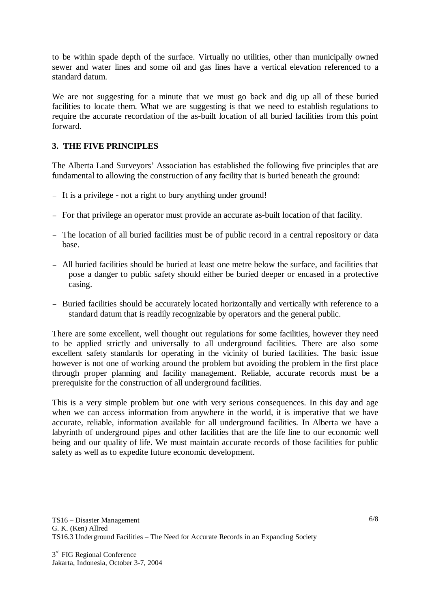to be within spade depth of the surface. Virtually no utilities, other than municipally owned sewer and water lines and some oil and gas lines have a vertical elevation referenced to a standard datum.

We are not suggesting for a minute that we must go back and dig up all of these buried facilities to locate them. What we are suggesting is that we need to establish regulations to require the accurate recordation of the as-built location of all buried facilities from this point forward.

### **3. THE FIVE PRINCIPLES**

The Alberta Land Surveyors' Association has established the following five principles that are fundamental to allowing the construction of any facility that is buried beneath the ground:

- <sup>−</sup> It is a privilege not a right to bury anything under ground!
- <sup>−</sup> For that privilege an operator must provide an accurate as-built location of that facility.
- <sup>−</sup> The location of all buried facilities must be of public record in a central repository or data base.
- <sup>−</sup> All buried facilities should be buried at least one metre below the surface, and facilities that pose a danger to public safety should either be buried deeper or encased in a protective casing.
- <sup>−</sup> Buried facilities should be accurately located horizontally and vertically with reference to a standard datum that is readily recognizable by operators and the general public.

There are some excellent, well thought out regulations for some facilities, however they need to be applied strictly and universally to all underground facilities. There are also some excellent safety standards for operating in the vicinity of buried facilities. The basic issue however is not one of working around the problem but avoiding the problem in the first place through proper planning and facility management. Reliable, accurate records must be a prerequisite for the construction of all underground facilities.

This is a very simple problem but one with very serious consequences. In this day and age when we can access information from anywhere in the world, it is imperative that we have accurate, reliable, information available for all underground facilities. In Alberta we have a labyrinth of underground pipes and other facilities that are the life line to our economic well being and our quality of life. We must maintain accurate records of those facilities for public safety as well as to expedite future economic development.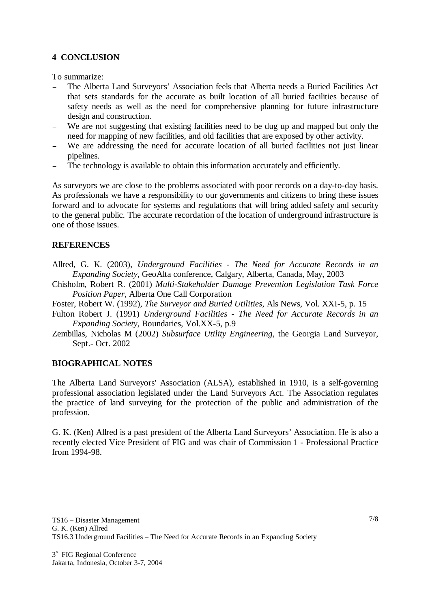## **4 CONCLUSION**

To summarize:

- The Alberta Land Surveyors' Association feels that Alberta needs a Buried Facilities Act that sets standards for the accurate as built location of all buried facilities because of safety needs as well as the need for comprehensive planning for future infrastructure design and construction.
- We are not suggesting that existing facilities need to be dug up and mapped but only the need for mapping of new facilities, and old facilities that are exposed by other activity.
- <sup>−</sup> We are addressing the need for accurate location of all buried facilities not just linear pipelines.
- The technology is available to obtain this information accurately and efficiently.

As surveyors we are close to the problems associated with poor records on a day-to-day basis. As professionals we have a responsibility to our governments and citizens to bring these issues forward and to advocate for systems and regulations that will bring added safety and security to the general public. The accurate recordation of the location of underground infrastructure is one of those issues.

### **REFERENCES**

- Allred, G. K. (2003), *Underground Facilities The Need for Accurate Records in an Expanding Society*, GeoAlta conference, Calgary, Alberta, Canada, May, 2003
- Chisholm, Robert R. (2001) *Multi-Stakeholder Damage Prevention Legislation Task Force Position Paper*, Alberta One Call Corporation
- Foster, Robert W. (1992), *The Surveyor and Buried Utilities*, Als News, Vol. XXI-5, p. 15
- Fulton Robert J. (1991) *Underground Facilities The Need for Accurate Records in an Expanding Society*, Boundaries, Vol.XX-5, p.9
- Zembillas, Nicholas M (2002) *Subsurface Utility Engineering*, the Georgia Land Surveyor, Sept.- Oct. 2002

### **BIOGRAPHICAL NOTES**

The Alberta Land Surveyors' Association (ALSA), established in 1910, is a self-governing professional association legislated under the Land Surveyors Act. The Association regulates the practice of land surveying for the protection of the public and administration of the profession.

G. K. (Ken) Allred is a past president of the Alberta Land Surveyors' Association. He is also a recently elected Vice President of FIG and was chair of Commission 1 - Professional Practice from 1994-98.